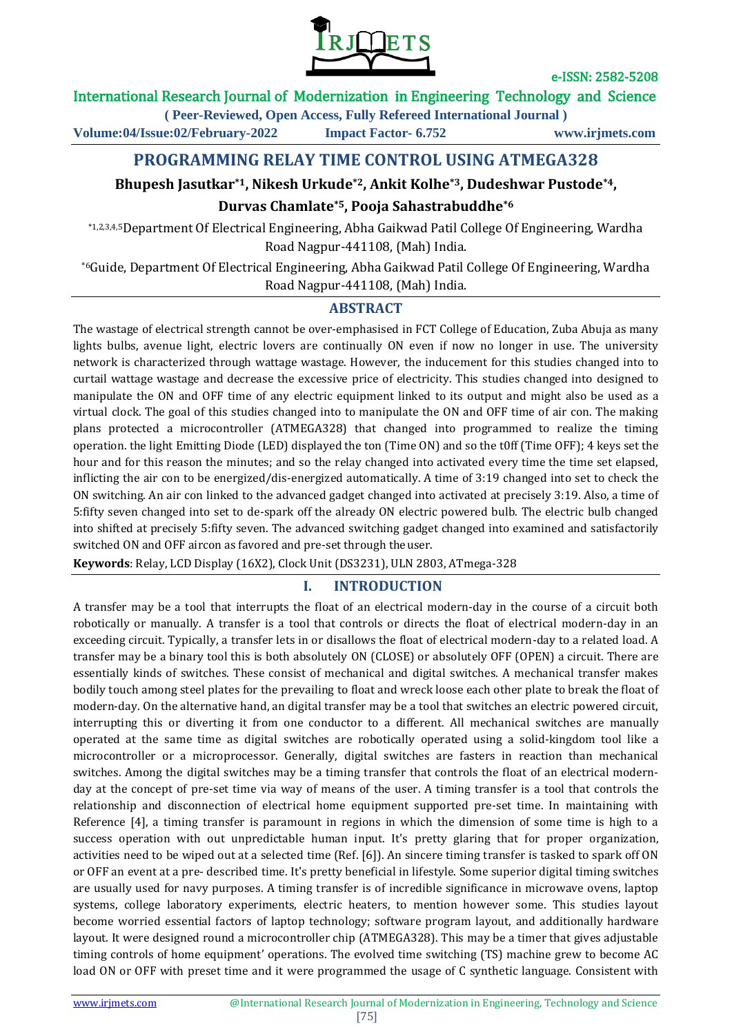

### International Research Journal of Modernization in Engineering Technology and Science

**( Peer-Reviewed, Open Access, Fully Refereed International Journal )**

**Volume:04/Issue:02/February-2022 Impact Factor- 6.752 www.irjmets.com**

# **PROGRAMMING RELAY TIME CONTROL USING ATMEGA328**

# **Bhupesh Jasutkar\*1, Nikesh Urkude\*2, Ankit Kolhe\*3, Dudeshwar Pustode\*4,**

### **Durvas Chamlate\*5, Pooja Sahastrabuddhe\*6**

\*1,2,3,4,5Department Of Electrical Engineering, Abha Gaikwad Patil College Of Engineering, Wardha Road Nagpur-441108, (Mah) India.

\*6Guide, Department Of Electrical Engineering, Abha Gaikwad Patil College Of Engineering, Wardha Road Nagpur-441108, (Mah) India.

# **ABSTRACT**

The wastage of electrical strength cannot be over-emphasised in FCT College of Education, Zuba Abuja as many lights bulbs, avenue light, electric lovers are continually ON even if now no longer in use. The university network is characterized through wattage wastage. However, the inducement for this studies changed into to curtail wattage wastage and decrease the excessive price of electricity. This studies changed into designed to manipulate the ON and OFF time of any electric equipment linked to its output and might also be used as a virtual clock. The goal of this studies changed into to manipulate the ON and OFF time of air con. The making plans protected a microcontroller (ATMEGA328) that changed into programmed to realize the timing operation. the light Emitting Diode (LED) displayed the ton (Time ON) and so the t0ff (Time OFF); 4 keys set the hour and for this reason the minutes; and so the relay changed into activated every time the time set elapsed, inflicting the air con to be energized/dis-energized automatically. A time of 3:19 changed into set to check the ON switching. An air con linked to the advanced gadget changed into activated at precisely 3:19. Also, a time of 5:fifty seven changed into set to de-spark off the already ON electric powered bulb. The electric bulb changed into shifted at precisely 5:fifty seven. The advanced switching gadget changed into examined and satisfactorily switched ON and OFF aircon as favored and pre-set through theuser.

**Keywords**: Relay, LCD Display (16X2), Clock Unit (DS3231), ULN 2803, ATmega-328

### **I. INTRODUCTION**

A transfer may be a tool that interrupts the float of an electrical modern-day in the course of a circuit both robotically or manually. A transfer is a tool that controls or directs the float of electrical modern-day in an exceeding circuit. Typically, a transfer lets in or disallows the float of electrical modern-day to a related load. A transfer may be a binary tool this is both absolutely ON (CLOSE) or absolutely OFF (OPEN) a circuit. There are essentially kinds of switches. These consist of mechanical and digital switches. A mechanical transfer makes bodily touch among steel plates for the prevailing to float and wreck loose each other plate to break the float of modern-day. On the alternative hand, an digital transfer may be a tool that switches an electric powered circuit, interrupting this or diverting it from one conductor to a different. All mechanical switches are manually operated at the same time as digital switches are robotically operated using a solid-kingdom tool like a microcontroller or a microprocessor. Generally, digital switches are fasters in reaction than mechanical switches. Among the digital switches may be a timing transfer that controls the float of an electrical modernday at the concept of pre-set time via way of means of the user. A timing transfer is a tool that controls the relationship and disconnection of electrical home equipment supported pre-set time. In maintaining with Reference [4], a timing transfer is paramount in regions in which the dimension of some time is high to a success operation with out unpredictable human input. It's pretty glaring that for proper organization, activities need to be wiped out at a selected time (Ref. [6]). An sincere timing transfer is tasked to spark off ON or OFF an event at a pre- described time. It's pretty beneficial in lifestyle. Some superior digital timing switches are usually used for navy purposes. A timing transfer is of incredible significance in microwave ovens, laptop systems, college laboratory experiments, electric heaters, to mention however some. This studies layout become worried essential factors of laptop technology; software program layout, and additionally hardware layout. It were designed round a microcontroller chip (ATMEGA328). This may be a timer that gives adjustable timing controls of home equipment' operations. The evolved time switching (TS) machine grew to become AC load ON or OFF with preset time and it were programmed the usage of C synthetic language. Consistent with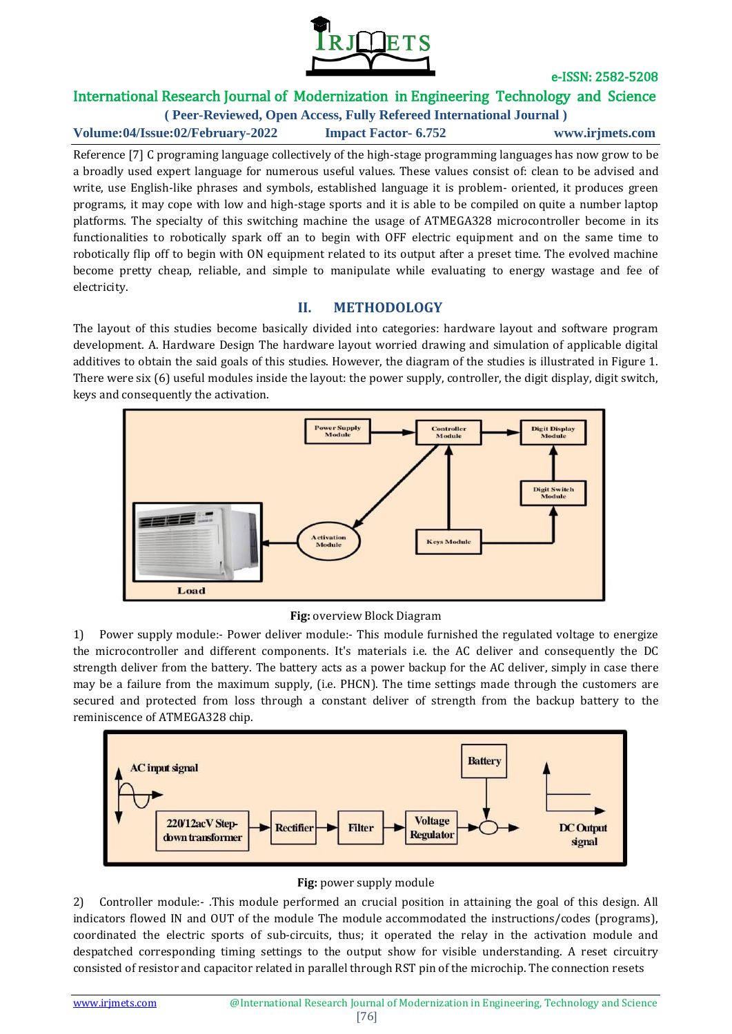

# International Research Journal of Modernization in Engineering Technology and Science

**( Peer-Reviewed, Open Access, Fully Refereed International Journal )**

**Volume:04/Issue:02/February-2022 Impact Factor- 6.752 www.irjmets.com**

Reference [7] C programing language collectively of the high-stage programming languages has now grow to be a broadly used expert language for numerous useful values. These values consist of: clean to be advised and write, use English-like phrases and symbols, established language it is problem- oriented, it produces green programs, it may cope with low and high-stage sports and it is able to be compiled on quite a number laptop platforms. The specialty of this switching machine the usage of ATMEGA328 microcontroller become in its functionalities to robotically spark off an to begin with OFF electric equipment and on the same time to robotically flip off to begin with ON equipment related to its output after a preset time. The evolved machine become pretty cheap, reliable, and simple to manipulate while evaluating to energy wastage and fee of electricity.

# **II. METHODOLOGY**

The layout of this studies become basically divided into categories: hardware layout and software program development. A. Hardware Design The hardware layout worried drawing and simulation of applicable digital additives to obtain the said goals of this studies. However, the diagram of the studies is illustrated in Figure 1. There were six (6) useful modules inside the layout: the power supply, controller, the digit display, digit switch, keys and consequently the activation.



#### **Fig:** overview Block Diagram

1) Power supply module:- Power deliver module:- This module furnished the regulated voltage to energize the microcontroller and different components. It's materials i.e. the AC deliver and consequently the DC strength deliver from the battery. The battery acts as a power backup for the AC deliver, simply in case there may be a failure from the maximum supply, (i.e. PHCN). The time settings made through the customers are secured and protected from loss through a constant deliver of strength from the backup battery to the reminiscence of ATMEGA328 chip.



### **Fig:** power supply module

2) Controller module:- .This module performed an crucial position in attaining the goal of this design. All indicators flowed IN and OUT of the module The module accommodated the instructions/codes (programs), coordinated the electric sports of sub-circuits, thus; it operated the relay in the activation module and despatched corresponding timing settings to the output show for visible understanding. A reset circuitry consisted of resistor and capacitor related in parallel through RST pin of the microchip. The connection resets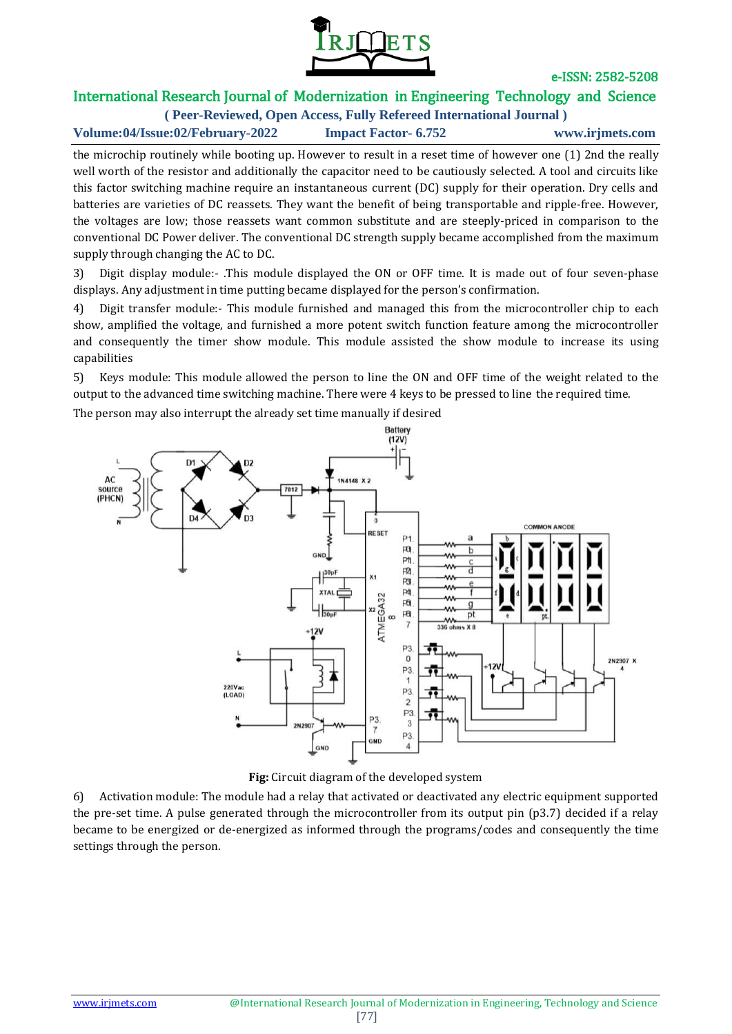

# International Research Journal of Modernization in Engineering Technology and Science

**( Peer-Reviewed, Open Access, Fully Refereed International Journal )**

**Volume:04/Issue:02/February-2022 Impact Factor- 6.752 www.irjmets.com**

the microchip routinely while booting up. However to result in a reset time of however one (1) 2nd the really well worth of the resistor and additionally the capacitor need to be cautiously selected. A tool and circuits like this factor switching machine require an instantaneous current (DC) supply for their operation. Dry cells and batteries are varieties of DC reassets. They want the benefit of being transportable and ripple-free. However, the voltages are low; those reassets want common substitute and are steeply-priced in comparison to the conventional DC Power deliver. The conventional DC strength supply became accomplished from the maximum supply through changing the AC to DC.

3) Digit display module:- .This module displayed the ON or OFF time. It is made out of four seven-phase displays. Any adjustment in time putting became displayed for the person's confirmation.

4) Digit transfer module:- This module furnished and managed this from the microcontroller chip to each show, amplified the voltage, and furnished a more potent switch function feature among the microcontroller and consequently the timer show module. This module assisted the show module to increase its using capabilities

5) Keys module: This module allowed the person to line the ON and OFF time of the weight related to the output to the advanced time switching machine. There were 4 keys to be pressed to line the required time.

The person may also interrupt the already set time manually if desired



**Fig:** Circuit diagram of the developed system

6) Activation module: The module had a relay that activated or deactivated any electric equipment supported the pre-set time. A pulse generated through the microcontroller from its output pin (p3.7) decided if a relay became to be energized or de-energized as informed through the programs/codes and consequently the time settings through the person.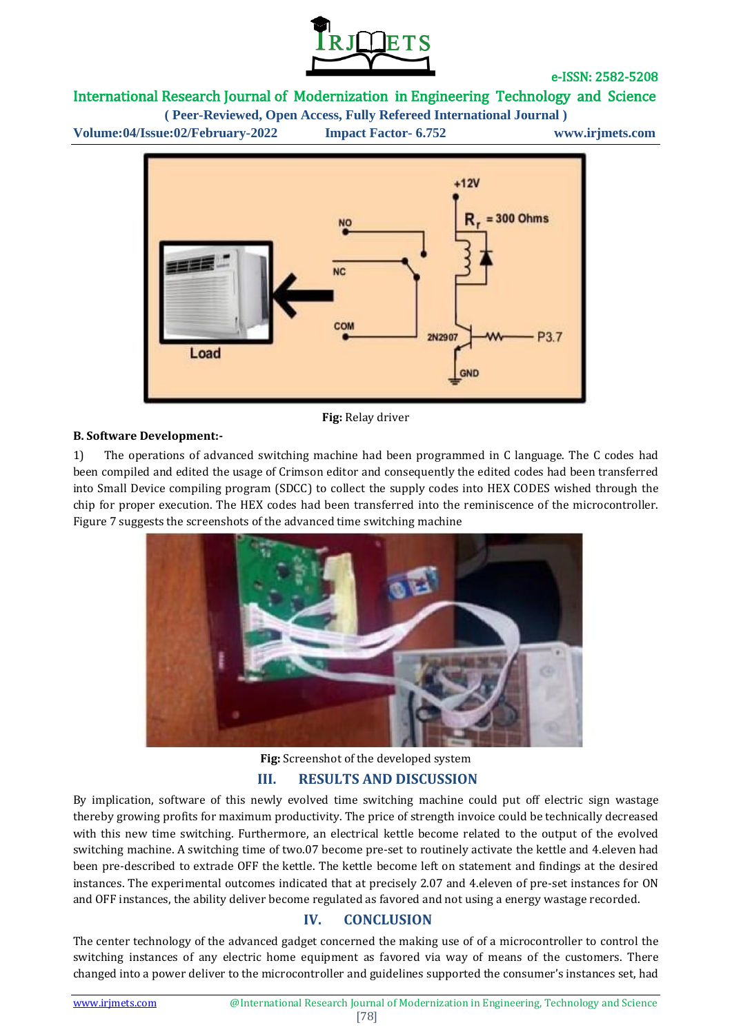

# International Research Journal of Modernization in Engineering Technology and Science

**( Peer-Reviewed, Open Access, Fully Refereed International Journal )**

**Volume:04/Issue:02/February-2022 Impact Factor- 6.752 www.irjmets.com**



**Fig:** Relay driver

#### **B. Software Development:-**

1) The operations of advanced switching machine had been programmed in C language. The C codes had been compiled and edited the usage of Crimson editor and consequently the edited codes had been transferred into Small Device compiling program (SDCC) to collect the supply codes into HEX CODES wished through the chip for proper execution. The HEX codes had been transferred into the reminiscence of the microcontroller. Figure 7 suggests the screenshots of the advanced time switching machine



**Fig:** Screenshot of the developed system **III. RESULTS AND DISCUSSION**

By implication, software of this newly evolved time switching machine could put off electric sign wastage thereby growing profits for maximum productivity. The price of strength invoice could be technically decreased with this new time switching. Furthermore, an electrical kettle become related to the output of the evolved switching machine. A switching time of two.07 become pre-set to routinely activate the kettle and 4.eleven had been pre-described to extrade OFF the kettle. The kettle become left on statement and findings at the desired instances. The experimental outcomes indicated that at precisely 2.07 and 4.eleven of pre-set instances for ON and OFF instances, the ability deliver become regulated as favored and not using a energy wastage recorded.

### **IV. CONCLUSION**

The center technology of the advanced gadget concerned the making use of of a microcontroller to control the switching instances of any electric home equipment as favored via way of means of the customers. There changed into a power deliver to the microcontroller and guidelines supported the consumer's instances set, had